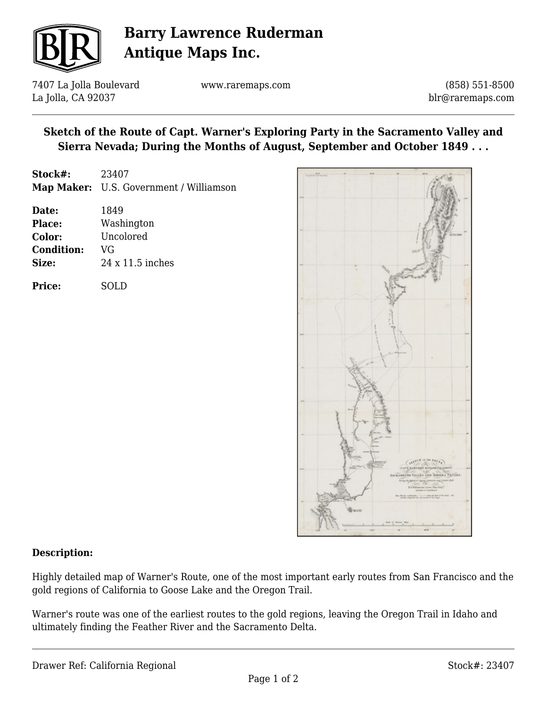

# **Barry Lawrence Ruderman Antique Maps Inc.**

7407 La Jolla Boulevard La Jolla, CA 92037

www.raremaps.com

(858) 551-8500 blr@raremaps.com

## **Sketch of the Route of Capt. Warner's Exploring Party in the Sacramento Valley and Sierra Nevada; During the Months of August, September and October 1849 . . .**

| Stock#:           | 23407                                   |
|-------------------|-----------------------------------------|
|                   | Map Maker: U.S. Government / Williamson |
| Date:             | 1849                                    |
| Place:            | Washington                              |
| Color:            | Uncolored                               |
| <b>Condition:</b> | VG                                      |
| Size:             | $24 \times 11.5$ inches                 |
|                   |                                         |

| <b>Price:</b> | <b>SOLD</b> |
|---------------|-------------|
|               |             |



#### **Description:**

Highly detailed map of Warner's Route, one of the most important early routes from San Francisco and the gold regions of California to Goose Lake and the Oregon Trail.

Warner's route was one of the earliest routes to the gold regions, leaving the Oregon Trail in Idaho and ultimately finding the Feather River and the Sacramento Delta.